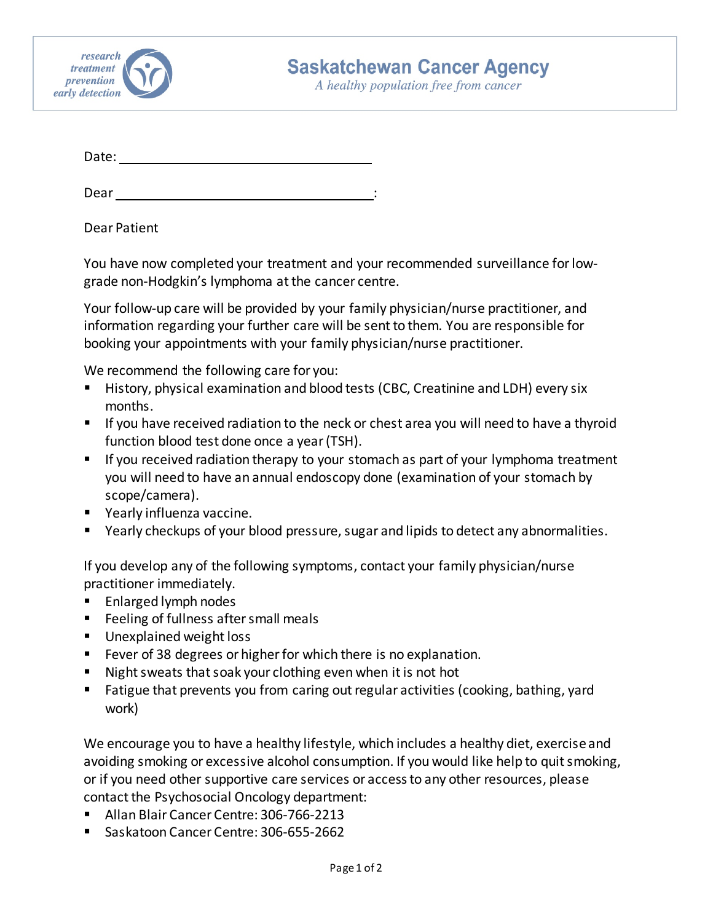

A healthy population free from cancer

Date:

Dear : and the state of the state of the state of the state of the state of the state of the state of the state of the state of the state of the state of the state of the state of the state of the state of the state of the

Dear Patient

You have now completed your treatment and your recommended surveillance for lowgrade non-Hodgkin's lymphoma at the cancer centre.

Your follow-up care will be provided by your family physician/nurse practitioner, and information regarding your further care will be sent to them. You are responsible for booking your appointments with your family physician/nurse practitioner.

We recommend the following care for you:

- History, physical examination and blood tests (CBC, Creatinine and LDH) every six months.
- If you have received radiation to the neck or chest area you will need to have a thyroid function blood test done once a year(TSH).
- If you received radiation therapy to your stomach as part of your lymphoma treatment you will need to have an annual endoscopy done (examination of your stomach by scope/camera).
- **•** Yearly influenza vaccine.
- Yearly checkups of your blood pressure, sugar and lipids to detect any abnormalities.

If you develop any of the following symptoms, contact your family physician/nurse practitioner immediately.

- **Enlarged lymph nodes**
- **Feeling of fullness after small meals**
- **Unexplained weight loss**
- Fever of 38 degrees or higher for which there is no explanation.
- Night sweats that soak your clothing even when it is not hot
- Fatigue that prevents you from caring out regular activities (cooking, bathing, yard work)

We encourage you to have a healthy lifestyle, which includes a healthy diet, exercise and avoiding smoking or excessive alcohol consumption. If you would like help to quit smoking, or if you need other supportive care services or access to any other resources, please contact the Psychosocial Oncology department:

- Allan Blair Cancer Centre: 306-766-2213
- Saskatoon Cancer Centre: 306-655-2662